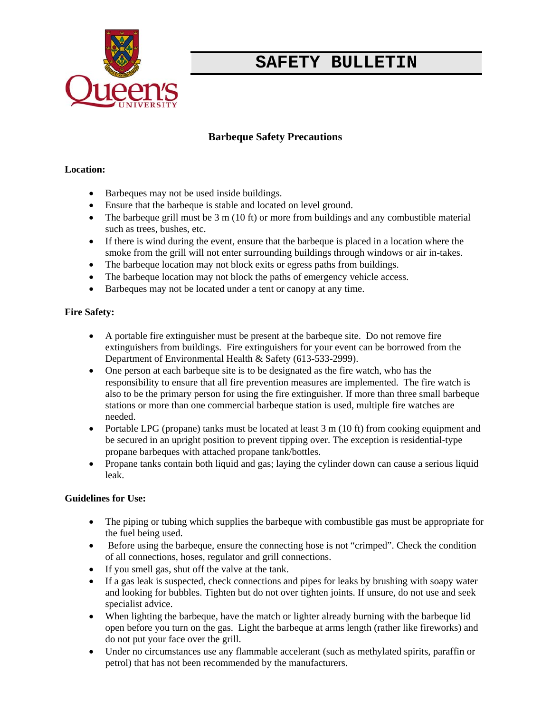

# **SAFETY BULLETIN**

### **Barbeque Safety Precautions**

#### **Location:**

- Barbeques may not be used inside buildings.
- Ensure that the barbeque is stable and located on level ground.
- The barbeque grill must be  $3 \text{ m} (10 \text{ ft})$  or more from buildings and any combustible material such as trees, bushes, etc.
- If there is wind during the event, ensure that the barbeque is placed in a location where the smoke from the grill will not enter surrounding buildings through windows or air in-takes.
- The barbeque location may not block exits or egress paths from buildings.
- The barbeque location may not block the paths of emergency vehicle access.
- Barbeques may not be located under a tent or canopy at any time.

#### **Fire Safety:**

- A portable fire extinguisher must be present at the barbeque site. Do not remove fire extinguishers from buildings. Fire extinguishers for your event can be borrowed from the Department of Environmental Health & Safety (613-533-2999).
- One person at each barbeque site is to be designated as the fire watch, who has the responsibility to ensure that all fire prevention measures are implemented. The fire watch is also to be the primary person for using the fire extinguisher. If more than three small barbeque stations or more than one commercial barbeque station is used, multiple fire watches are needed.
- Portable LPG (propane) tanks must be located at least 3 m (10 ft) from cooking equipment and be secured in an upright position to prevent tipping over. The exception is residential-type propane barbeques with attached propane tank/bottles.
- Propane tanks contain both liquid and gas; laying the cylinder down can cause a serious liquid leak.

#### **Guidelines for Use:**

- The piping or tubing which supplies the barbeque with combustible gas must be appropriate for the fuel being used.
- Before using the barbeque, ensure the connecting hose is not "crimped". Check the condition of all connections, hoses, regulator and grill connections.
- If you smell gas, shut off the valve at the tank.
- If a gas leak is suspected, check connections and pipes for leaks by brushing with soapy water and looking for bubbles. Tighten but do not over tighten joints. If unsure, do not use and seek specialist advice.
- When lighting the barbeque, have the match or lighter already burning with the barbeque lid open before you turn on the gas. Light the barbeque at arms length (rather like fireworks) and do not put your face over the grill.
- Under no circumstances use any flammable accelerant (such as methylated spirits, paraffin or petrol) that has not been recommended by the manufacturers.